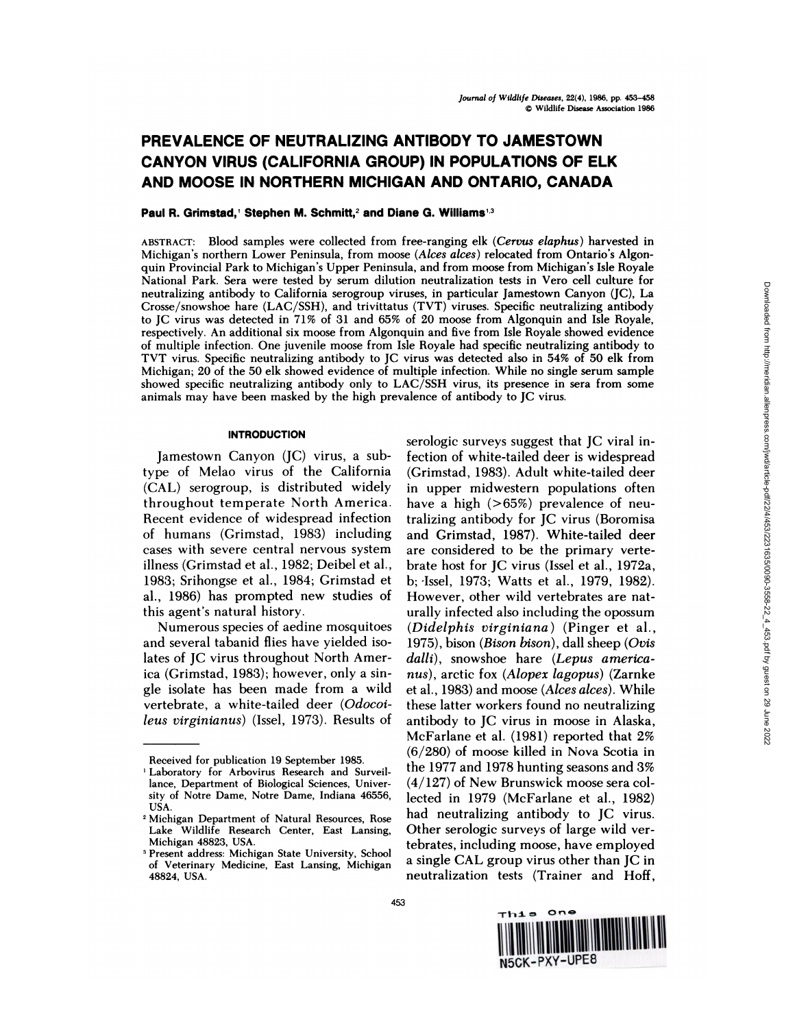# **PREVALENCE OF NEUTRALIZING ANTIBODY TO JAMESTOWN CANYON VIRUS (CALIFORNIA GROUP) IN POPULATIONS OF ELK AND MOOSE IN NORTHERN MICHIGAN AND ONTARIO, CANADA**

## **Paul R. Grimstad, Stephen M. Schmitt,2 and Diane G.Williams1-3**

**ABSTRACT:** Blood samples were collected from free-ranging elk *(Cervus elaphus)* harvested in Michigan's northern Lower Peninsula, from moose *(Alces alces)* relocated from Ontario's Algonquin Provincial Park to Michigan's Upper Peninsula, and from moose from Michigan's Isle Royale National Park. Sera were tested by serum dilution neutralization tests in Vero cell culture for neutralizing antibody to California serogroup viruses, in particular Jamestown Canyon (JC), La Crosse/snowshoe hare (LAC/SSH), and trivittatus (TVT) viruses. Specific neutralizing antibody to JC virus was detected in 71% of 31 and 65% of 20 moose from Algonquin and Isle Royale, respectively. An additional six moose from Algonquin and five from IsleRoyale showed evidence of multiple infection. One juvenile moose from IsleRoyale had specific neutralizing antibody to TVT virus. Specific neutralizing antibody to JC virus was detected also in 54% of 50 elk from Michigan; 20 of the 50 elk showed evidence of multiple infection. While no single serum sample showed specific neutralizing antibody only to LAC/SSH virus, its presence in sera from some animals may have been masked by the high prevalence of antibody to JC virus.

## **INTRODUCTION**

Jamestown Canyon (JC) virus, a subtype of Melao virus of the California (CAL) serogroup, is distributed widely throughout temperate North America. Recent evidence of widespread infection of humans (Grimstad, 1983) including cases with severe central nervous system illness (Grimstad et a!., 1982; Deibel et a!., 1983; Srihongse et a!., 1984; Grimstad et a!., 1986) has prompted new studies of this agent's natural history.

Numerous species of aedine mosquitoes and several tabanid flies have yielded isolates of JC virus throughout North America (Grimstad, 1983); however, only a single isolate has been made from a wild vertebrate, a white-tailed deer *(Odocoileus virginianus)* (Issel, 1973). Results of serologic surveys suggest that JC viral infection of white-tailed deer is widespread (Grimstad, 1983). Adult white-tailed deer in upper midwestern populations often have a high (>65%) prevalence of neutralizing antibody for JC virus (Boromisa and Grimstad, 1987). White-tailed deer are considered to be the primary vertebrate host for JC virus (Issel et al., 1972a, b; 'Issel, 1973; Watts et al., 1979, 1982). However, other wild vertebrates are naturally infected also including the opossum *(Dideiphis virginiana)* (Pinger et al., 1975), bison *(Bison bison),* dali sheep *(Ovis dalli),* snowshoe hare *(Lepus americanus),* arctic fox *(Alopex lagopus)* (Zarnke et al., 1983) and moose *(Alces alces).* While these latter workers found no neutralizing antibody to JC virus in moose in Alaska, McFarlane et al. (1981) reported that 2% (6/280) of moose killed in Nova Scotia in the 1977 and 1978 hunting seasons and 3% (4/127) of New Brunswick moose sera collected in 1979 (McFarlane et al., 1982) had neutralizing antibody to JC virus. Other serologic surveys of large wild vertebrates, including moose, have employed a single CAL group virus other than JC in neutralization tests (Trainer and Hoff,



Received for publication 19 September 1985.

Laboratory for Arbovirus Research and Surveillance, Department of Biological Sciences, **Univer** sity of Notre **Dame,** Notre Dame, Indiana 46556, **USA.**

<sup>2</sup> Michigan Department of Natural Resources, Rose **Lake Wildlife Research Center, East Lansing, Michigan 48823, USA.**

**Present address: Michigan State University,** School **of Veterinary Medicine, East Lansing, Michigan** 48824, USA.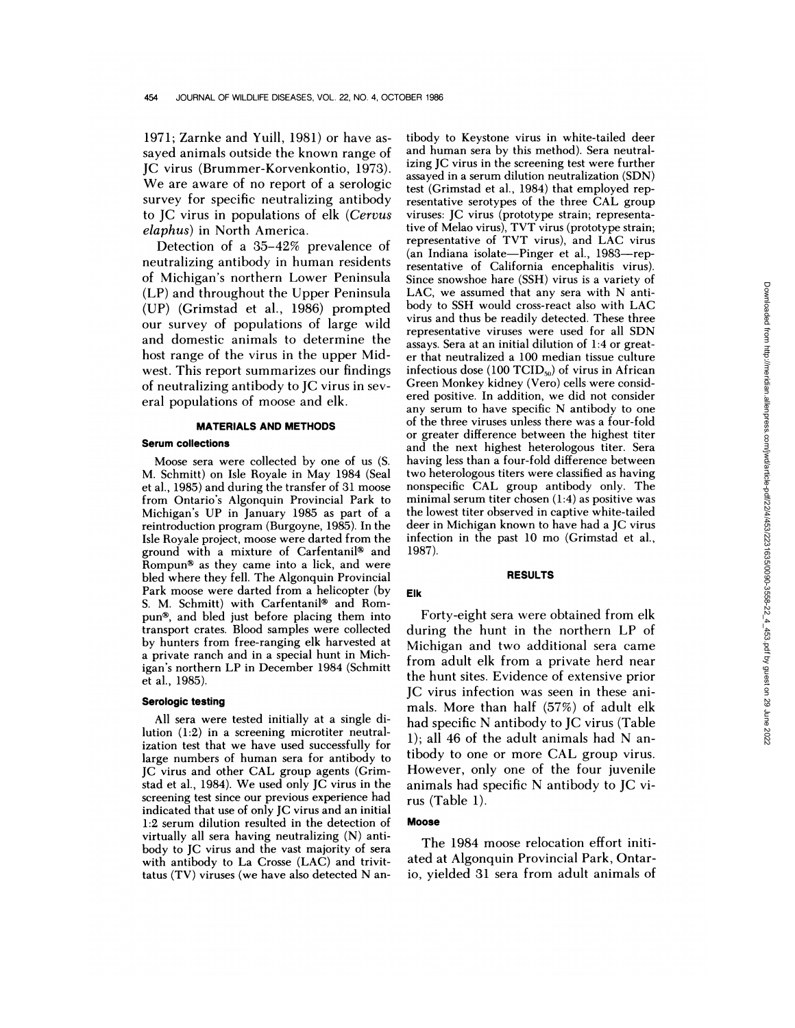1971; Zarnke and Yuill, 1981) or have assayed animals outside the known range of JC virus (Brummer-Korvenkontio, 1973). We are aware of no report of a serologic survey for specific neutralizing antibody to JC virus in populations of elk *(Cervus elaphus)* in North America.

Detection of a 35-42% prevalence of neutralizing antibody in human residents of Michigan's northern Lower Peninsula (LP) and throughout the Upper Peninsula (UP) (Grimstad et a!., 1986) prompted our survey of populations of large wild and domestic animals to determine the host range of the virus in the upper Midwest. This report summarizes our findings of neutralizing antibody to JC virus in sev eral populations of moose and elk.

## **MATERIALS AND METHODS**

## **Serum collections**

Moose sera were collected by one of us (S. M. Schmitt) on Isle Royale in May 1984 (Seal et al., 1985) and during the transfer of 31 moose from Ontario's Algonquin Provincial Park to Michigan's UP in January 1985 as part of a reintroduction program (Burgoyne, 1985). In the Isle Royale project, moose were darted from the ground with a mixture of Carfentanil<sup>®</sup> and Rompun $*$  as they came into a lick, and were bled where they fell. The Algonquin Provincial Park moose were darted from a helicopter (by S. M. Schmitt) with Carfentanil<sup>®</sup> and Rompun $\mathcal{F}$ , and bled just before placing them into transport crates. Blood samples were collected by hunters from free-ranging elk harvested at a private ranch and in a special hunt in Michigan's northern LP in December 1984 (Schmitt et al., 1985).

#### **Serologic testing**

All sera were tested initially at a single dilution (1:2) in a screening microtiter neutralization test that we have used successfully for large numbers of human sera for antibody to JC virus and other CAL group agents (Grimstad et al., 1984). We used only JC virus in the screening test since our previous experience had indicated that use of only JC virus and an initial 1:2 serum dilution resulted in the detection of virtually all sera having neutralizing (N) antibody to JC virus and the vast majority of sera with antibody to La Crosse (LAC) and trivittatus (TV) viruses (we have also detected N an-

tibody to Keystone virus in white-tailed deer and human sera by this method). Sera neutralizing JC virus in the screening test were further assayed in a serum dilution neutralization (SDN) test (Grimstad et al., 1984) that employed representative serotypes of the three CAL group viruses: JC virus (prototype strain; representative of Melao virus), TVT virus (prototype strain; representative of TVT virus), and LAC virus (an Indiana isolate—Pinger et al., 1983—representative of California encephalitis virus). Since snowshoe hare (SSH) virus is a variety of LAG, we assumed that any sera with N antibody to SSH would cross-react also with LAG virus and thus be readily detected. These three representative viruses were used for all SDN assays. Sera at an initial dilution of 1:4 or great er that neutralized a 100 median tissue culture infectious dose (100 TCID $_{50}$ ) of virus in African Green Monkey kidney (Vero) cells were considered positive. In addition, we did not consider any serum to have specific N antibody to one of the three viruses unless there was a four-fold or greater difference between the highest titer and the next highest heterologous titer. Sera having less than a four-fold difference between two heterologous titers were classified as having nonspecific CAL group antibody only. The minimal serum titer chosen (1:4) as positive was the lowest titer observed in captive white-tailed deer in Michigan known to have had a JC virus infection in the past 10 mo (Grimstad et al., 1987). LAC, we assumed that any sera with N anti-<br>tooly to SSH would cross-react also with LAC winst and thus be readily detected. These three<br>tries were used for all SDN<br>stays, Sera at an initial dilution of 1:4 or great-<br>from t

#### **RESULTS**

Forty-eight sera were obtained from elk during the hunt in the northern LP of Michigan and two additional sera came from adult elk from a private herd near the hunt sites. Evidence of extensive prior IC virus infection was seen in these animals. More than half (57%) of adult elk had specific N antibody to JC virus (Table 1); all 46 of the adult animals had N antibody to one or more CAL group virus. However, only one of the four juvenile animals had specific N antibody to JC virus (Table 1).

### **Moose**

**Elk**

The 1984 moose relocation effort initiated at Algonquin Provincial Park, Ontar-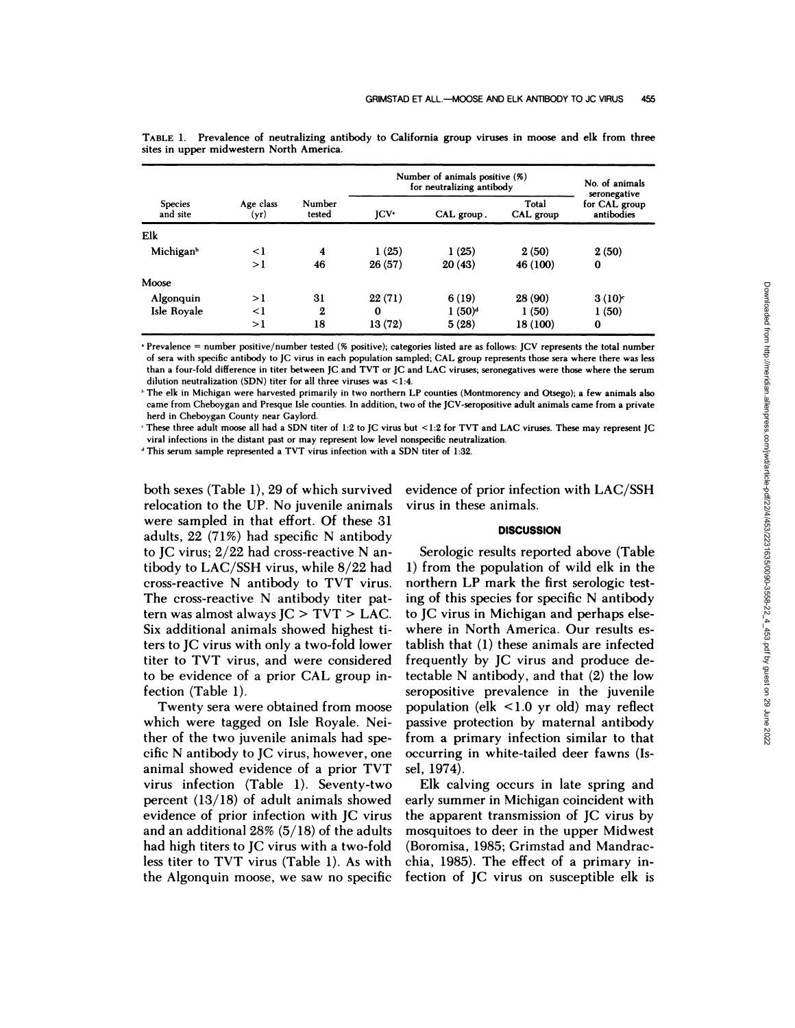| <b>Species</b><br>and site | Age class<br>(yr) |                         | Number of animals positive (%)<br>for neutralizing antibody |            |                    | No. of animals<br>seronegative |
|----------------------------|-------------------|-------------------------|-------------------------------------------------------------|------------|--------------------|--------------------------------|
|                            |                   | Number<br>tested        | $ICV^*$                                                     | CAL group. | Total<br>CAL group | for CAL group<br>antibodies    |
| Elk                        |                   |                         |                                                             |            |                    |                                |
| Michigan <sup>b</sup>      | $\leq$ 1          | $\overline{\mathbf{4}}$ | 1(25)                                                       | 1(25)      | 2(50)              | 2(50)                          |
|                            | >1                | 46                      | 26(57)                                                      | 20(43)     | 46 (100)           | $\bf{0}$                       |
| Moose                      |                   |                         |                                                             |            |                    |                                |
| Algonquin                  | >1                | 31                      | 22(71)                                                      | 6(19)      | 28 (90)            | $3(10)^c$                      |
| Isle Royale                | $\leq$ 1          | 2                       | $\bf{0}$                                                    | $1(50)^d$  | 1(50)              | 1(50)                          |
|                            | >1                | 18                      | 13 (72)                                                     | 5(28)      | 18 (100)           | $\bf{0}$                       |

TABLE 1. Prevalence of neutralizing antibody to California group viruses in moose and elk from three sites in upper midwestern North America.

· Prevalence = number positive/number tested (% positive); categories listed are as follows: JCV represents the total number of sera with specific antibody to JC virus in each population sampled; CAL group represents those sera where there was less than a four-fold difference in titer between JC and TVT or JC and LAC viruses; seronegatives were those where the serum **dilution neutralization (SDN) titer for all three viruses was <1:4.**

<sup>1</sup> The elk in Michigan were harvested primarily in two northern LP counties (Montmorency and Otsego); a few animals also came from Cheboygan and Presque Isle counties. In addition, two of the JCV-seropositive adult animals came from a private **herd in Cheboygan County near Gaylord.**

These three adult moose all had a SDN titer of 1:2 to JC virus but <1:2 for TVT and LAC viruses. These may represent JC **viral infections in the distant past or may represent low level nonspecific neutralization.**

**This serum sample represented a TVT virus infection with a SDN titer of 1:32.**

both sexes (Table 1), 29 of which survived relocation to the UP. No juvenile animals were sampled in that effort. Of these 31 adults, 22 (71%) had specific N antibody to JC virus;  $2/22$  had cross-reactive N antibody to LAC/SSH virus, while 8/22 had cross-reactive N antibody to TVT virus. The cross-reactive N antibody titer pattern was almost always  $IC > TVT > LAC$ . Six additional animals showed highest titers to JG virus with only a two-fold lower titer to TVT virus, and were considered to be evidence of a prior CAL group infection (Table 1).

Twenty sera were obtained from moose which were tagged on Isle Royale. Neither of the two juvenile animals had specific N antibody to JC virus, however, one animal showed evidence of a prior TVT virus infection (Table 1). Seventy-two percent (13/18) of adult animals showed evidence of prior infection with JG virus and an additional 28% (5/18) of the adults had high titers to JG virus with a two-fold less titer to TVT virus (Table 1). As with the Algonquin moose, we saw no specific fection of JC virus on susceptible elk is

evidence of prior infection with LAC/SSH virus in these animals.

# **DISCUSSION**

Serologic results reported above (Table 1) from the population of wild elk in the northern LP mark the first serologic testing of this species for specific N antibody to JG virus in Michigan and perhaps elsewhere in North America. Our results establish that (1) these animals are infected frequently by JG virus and produce detectable N antibody, and that (2) the low seropositive prevalence in the juvenile population (elk <1.0 yr old) may reflect passive protection by maternal antibody from a primary infection similar to that occurring in white-tailed deer fawns (Issel, 1974). 6(19) 28(90) 3(10)<br>
1(50) 1(50) 1(50) 1(50) 1(50) 1(50) 1(50) 1(50) 1(50) 1(50) 1(1) 1(50) 1)<br>
5(23) 18(100) 0<br>
5(23) 18(100) 0<br>
16(2) are a sindlews JCV represent the total number<br>
and LAC group represent the total numbe

Elk calving occurs in late spring and early summer in Michigan coincident with the apparent transmission of JG virus by mosquitoes to deer in the upper Midwest (Boromisa, 1985; Grimstad and Mandracchia, 1985). The effect of a primary in-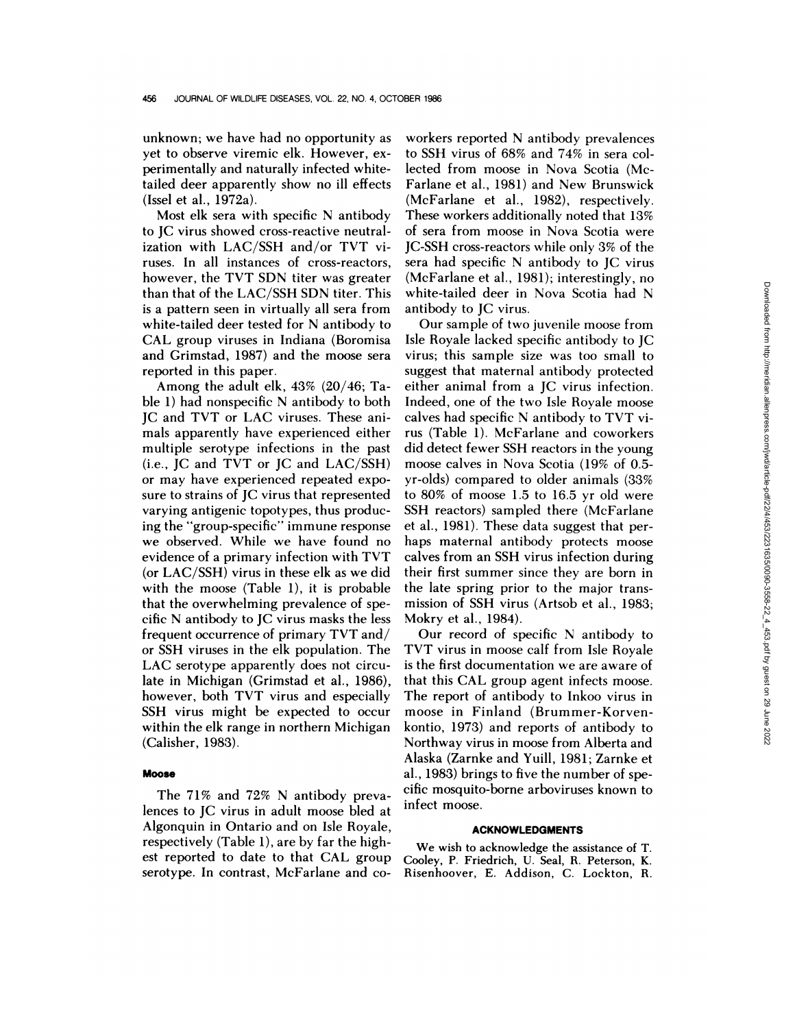unknown; we have had no opportunity as yet to observe viremic elk. However, ex perimentally and naturally infected whitetailed deer apparently show no ill effects (Issel et al., 1972a).

Most elk sera with specific N antibody to JG virus showed cross-reactive neutralization with LAC/SSH and/or TVT viruses. In all instances of cross-reactors, however, the TVT SDN titer was greater than that of the LAC/SSH SDN titer. This is a pattern seen in virtually all sera from white-tailed deer tested for N antibody to CAL group viruses in Indiana (Boromisa and Grimstad, 1987) and the moose sera reported in this paper.

Among the adult elk, 43% (20/46; Table 1) had nonspecific N antibody to both JC and TVT or LAG viruses. These animals apparently have experienced either multiple serotype infections in the past (i.e., JC and TVT or JC and LAC/SSH) or may have experienced repeated expo sure to strains of JC virus that represented varying antigenic topotypes, thus producing the "group-specific" immune response we observed. While we have found no evidence of a primary infection with TVT (or LAC/SSH) virus in these elk as we did with the moose (Table 1), it is probable that the overwhelming prevalence of specific N antibody to JC virus masks the less frequent occurrence of primary TVT and/ or SSH viruses in the elk population. The LAG serotype apparently does not circulate in Michigan (Grimstad et al., 1986), however, both TVT virus and especially SSH virus might be expected to occur within the elk range in northern Michigan (Calisher, 1983).

#### **Moose**

The 71% and 72% N antibody prevalences to JG virus in adult moose bled at Algonquin in Ontario and on Isle Royale, respectively (Table 1), are by far the highest reported to date to that CAL group serotype. In contrast, McFarlane and co-

workers reported N antibody prevalences to SSH virus of 68% and 74% in sera collected from moose in Nova Scotia (Mc-Farlane et a!., 1981) and New Brunswick (McFarlane et al., 1982), respectively. These workers additionally noted that 13% of sera from moose in Nova Scotia were JG-SSH cross-reactors while only 3% of the sera had specific N antibody to JC virus (McFarlane et a!., 1981); interestingly, no white-tailed deer in Nova Scotia had N antibody to JC virus.

Our sample of two juvenile moose from Isle Royale lacked specific antibody to JC virus; this sample size was too small to suggest that maternal antibody protected either animal from a JC virus infection. Indeed, one of the two Isle Royale moose calves had specific N antibody to TVT virus (Table 1). McFarlane and coworkers did detect fewer SSH reactors in the young moose calves in Nova Scotia (19% of 0.5 yr-olds) compared to older animals (33% to 80% of moose 1.5 to 16.5 yr old were SSH reactors) sampled there (McFarlane et al., 1981). These data suggest that perhaps maternal antibody protects moose calves from an SSH virus infection during their first summer since they are born in the late spring prior to the major transmission of SSH virus (Artsob et al., 1983; Mokry et al., 1984). white-tailed deer in Nova Scotia had N<br>
antibody to JC virus.<br>
Our sample of two juvenile moose from<br>
Isle Royale lacked specific antibody to JC<br>
virus; this sample size was too small to<br>
suggest that maternal antibody pro

Our record of specific N antibody to TVT virus in moose calf from Isle Royale is the first documentation we are aware of that this CAL group agent infects moose. The report of antibody to Inkoo virus in moose in Finland (Brummer-Korvenkontio, 1973) and reports of antibody to Northway virus in moose from Alberta and Alaska (Zarnke and Yuill, 1981; Zarnke et a!., 1983) brings to five the number of specific mosquito-borne arboviruses known to infect moose.

#### **ACKNOWLEDGMENTS**

We wish to acknowledge the assistance of T. Cooley, P. Friedrich, U. Seal, R. Peterson, K.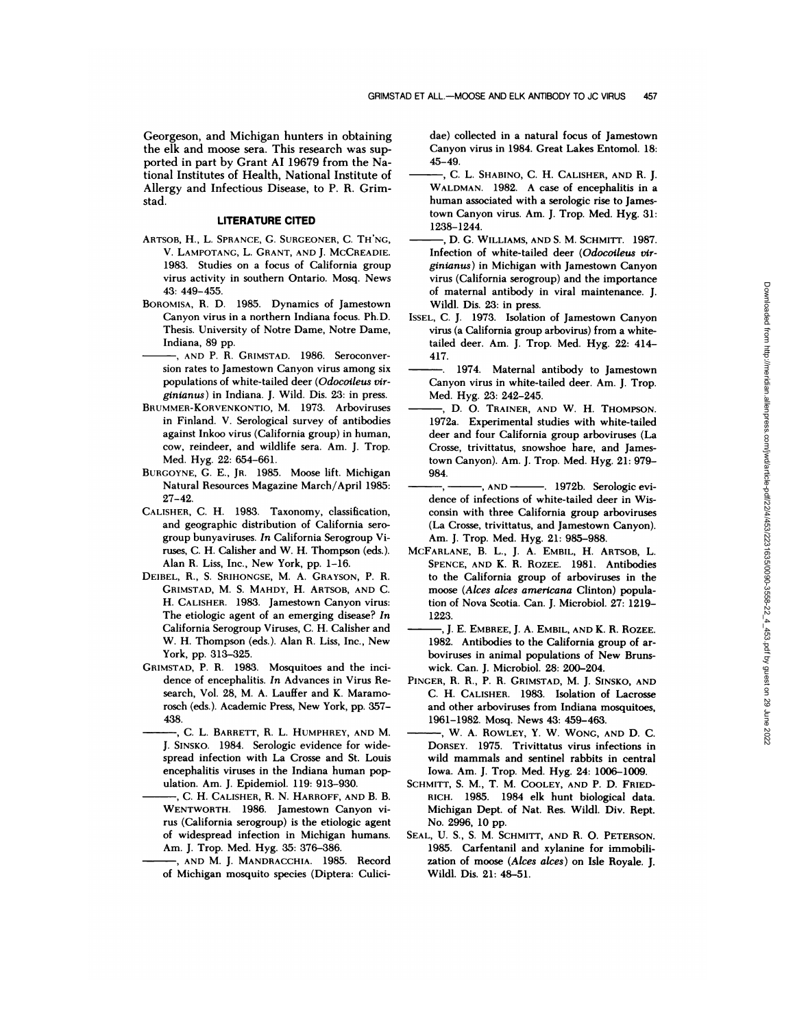Georgeson, and Michigan hunters in obtaining the elk and moose sera. This research was supported in part by Grant Al 19679 from the National Institutes of Health, National Institute of Allergy and Infectious Disease, to P. R. Grimstad,

#### **LITERATURE CITED**

- ARTSOB, H., L. SPRANCE, C. SURGEONER, C. TH'NG, V. LAMPOTANG, L. GRANT, AND J. MCCREADIE. 1983. Studies on a focus of California group virus activity in southern Ontario. Mosq. News 43: 449-455.
- B0R0MIsA, H. D. 1985. Dynamics of Jamestown Canyon virus in a northern Indiana focus. Ph.D. Thesis. University of Notre Dame, Notre Dame, Indiana, 89 pp.
- AND P. R. GRIMSTAD. 1986. Seroconver sion rates to Jamestown Canyon virus among six populations of white-tailed deer *(Odocoileus mr ginianus)* in Indiana. J. Wild. Dis. 23: in press.
- BRUMMER-KORVENKONTIO, M. 1973. Arboviruses in Finland. V. Serological survey of antibodies against Inkoo virus (California group) in human, cow, reindeer, and wildlife sera. Am. J. Trop. Med. Hyg. 22: 654-661.
- BURGOYNE, G. E., JR. 1985. Moose lift. Michigan Natural Resources Magazine March/April 1985: 27-42.
- CALISHER, C. H. 1983. Taxonomy, classification, and geographic distribution of California sero group bunyaviruses. *In* California Serogroup Viruses, C. H. Calisher and W. H. Thompson (eds.). Alan R. Liss, Inc., New York, pp. 1-16.
- DEIBEL, R., S. SRIHONGSE, M. A. GRAYSON, P. R. GRIMSTAD, M. S. MAHDY, H. ARTSOB, AND C. H. CALISHER. 1983. Jamestown Canyon virus: The etiologic agent of an emerging disease? *In* California Serogroup Viruses, C. H. Calisher and W. H. Thompson (eds.). Alan R. Liss, Inc., New York, pp. 313-325.
- GRIMSTAD, P. R. 1983. Mosquitoes and the inci dence of encephalitis. *In* Advances in Virus Re search, Vol. 28, M. A. Lauffer and K. Maramorosch (eds.). Academic Press, New York, pp. 357-438.
- ,C. L. BARRETT, R. L. HUMPHREY, AND M. J. SiNsKo. 1984. Serologic evidence for widespread infection with La Crosse and St. Louis encephalitis viruses in the Indiana human pop ulation. Am. J. Epidemiol. 119: 913-930.
- C. H. CALISHER, R. N. HARROFF, AND B. B. WENTWORTH. 1986. Jamestown Canyon vi rus (California serogroup) is the etiologic agent of widespread infection in Michigan humans. Am. J. Trop. Med. Hyg. 35: 376-386.
- ,AND M. J. MANDRACCHIA. 1985. Record of Michigan mosquito species (Diptera: Culici-

dae) collected in a natural focus of Jamestown Canyon virus in 1984. Great Lakes Entomol. 18: 45-49.

- , C. L. Shabino, C. H. Calisher, and R. J. WALDMAN. 1982. A case of encephalitis in a human associated with a serologic rise to Jamestown Canyon virus. Am. J. Trop. Med. Hyg. 31: 1238-1244.
- D. G. WILLIAMS, AND S. M. SCHMITT. 1987. Infection of white-tailed deer *(Odocolleus vi,' ginianus)* in Michigan with Jamestown Canyon virus (California serogroup) and the importance of maternal antibody in viral maintenance. J. Wildl. Dis. 23: in press.
- ISSEL, C. J. 1973. Isolation of Jamestown Canyon virus (a California group arbovirus) from a whitetailed deer. Am. J. Trop. Med. Hyg. 22: 414- 417.
- 1974. Maternal antibody to Jamestown Canyon virus in white-tailed deer. Am. J. Trop. Med. Hyg. 23: 242-245.
- D. 0. TRAINER, AND W. H. THOMPSON. 1972a. Experimental studies with white-tailed deer and four California group arboviruses (La Crosse, trivittatus, snowshoe hare, and Jamestown Canyon). Am. J. Trop. Med. Hyg. 21: 979- 984.
- $, \text{AND}$ . 1972b. Serologic evidence of infections of white-tailed deer in Wis consin with three California group arboviruses (La Crosse, trivittatus, and Jamestown Canyon). Am. J. Trop. Med. Hyg. 21: 985-988.
- MCFARLANE, B. L., J. A. EMBIL, H. ARTSOB, L. SPENCE, AND K. R. ROZEE. 1981. Antibodies to the California group of arboviruses in the moose *(Alces alces americana* Clinton) population of Nova Scotia. Can. J. Microbiol. 27: 1219- 1223.
- ,J. E. EMBREE, J. A. EMBIL, AND K. R. ROZEE. 1982. Antibodies to the California group of ar boviruses in animal populations of New Bruns wick. Can. J. Microbiol. 28: 200-204.
- PINCER, H. H., P. H. GRIMSTAD, M. J. SINSKO, AND C. H. CALISHER. 1983. Isolation of Lacrosse and other arboviruses from Indiana mosquitoes, 1961-1982. Mosq. News 43: 459-463.
- ,W. A. ROWLEY, Y. W. WONG, AND D. C. DORSEY. 1975. Trivittatus virus infections in wild mammals and sentinel rabbits in central Iowa. Am. J. Trop. Med. Hyg. 24: 1006-1009.
- SCHMITT, S. M., T. M. COOLEY, AND P. D. FRIED- RICH. 1985. 1984 elk hunt biological data. Michigan Dept. of Nat. Hes. Wildi. Div. Hept. No. 2996, 10 pp.
- SEAL, U. S., S. M. SCHMITT, AND R. O. PETERSON. 1985. Carfentanil and xylanine for immobili zation of moose *(Alces alces)* on Isle Royale. J. Wildl. Dis. 21: 48-51.